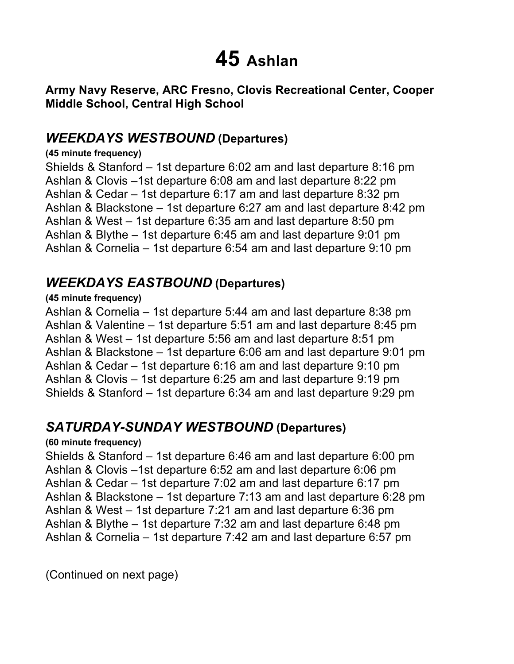# **45 Ashlan**

 **Army Navy Reserve, ARC Fresno, Clovis Recreational Center, Cooper Middle School, Central High School** 

### *WEEKDAYS WESTBOUND* **(Departures)**

#### **(45 minute frequency)**

 Shields & Stanford – 1st departure 6:02 am and last departure 8:16 pm Ashlan & Clovis –1st departure 6:08 am and last departure 8:22 pm Ashlan & Cedar – 1st departure 6:17 am and last departure 8:32 pm Ashlan & Blackstone – 1st departure 6:27 am and last departure 8:42 pm Ashlan & West – 1st departure 6:35 am and last departure 8:50 pm Ashlan & Blythe – 1st departure 6:45 am and last departure 9:01 pm Ashlan & Cornelia – 1st departure 6:54 am and last departure 9:10 pm

## *WEEKDAYS EASTBOUND* **(Departures)**

#### **(45 minute frequency)**

 Ashlan & Cornelia – 1st departure 5:44 am and last departure 8:38 pm Ashlan & Valentine – 1st departure 5:51 am and last departure 8:45 pm Ashlan & West – 1st departure 5:56 am and last departure 8:51 pm Ashlan & Blackstone – 1st departure 6:06 am and last departure 9:01 pm Ashlan & Cedar – 1st departure 6:16 am and last departure 9:10 pm Ashlan & Clovis – 1st departure 6:25 am and last departure 9:19 pm Shields & Stanford – 1st departure 6:34 am and last departure 9:29 pm

## *SATURDAY-SUNDAY WESTBOUND* **(Departures)**

#### **(60 minute frequency)**

 Shields & Stanford – 1st departure 6:46 am and last departure 6:00 pm Ashlan & Clovis –1st departure 6:52 am and last departure 6:06 pm Ashlan & Cedar – 1st departure 7:02 am and last departure 6:17 pm Ashlan & Blackstone – 1st departure 7:13 am and last departure 6:28 pm Ashlan & West – 1st departure 7:21 am and last departure 6:36 pm Ashlan & Blythe – 1st departure 7:32 am and last departure 6:48 pm Ashlan & Cornelia – 1st departure 7:42 am and last departure 6:57 pm

(Continued on next page)